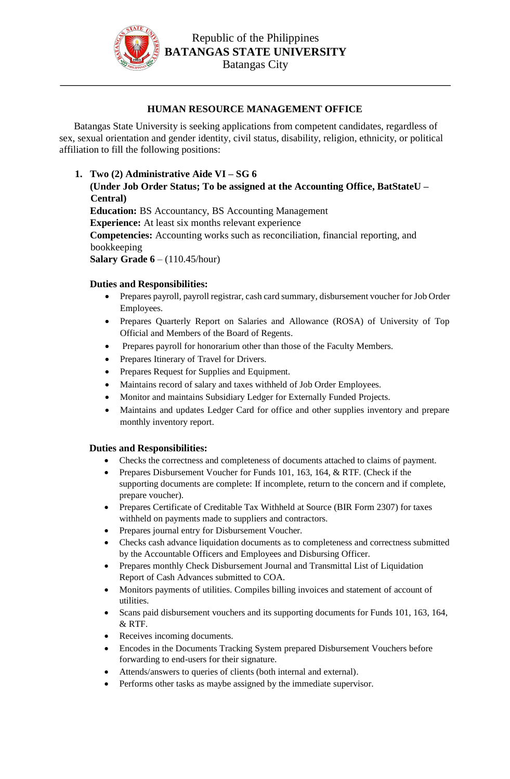

## **HUMAN RESOURCE MANAGEMENT OFFICE**

Batangas State University is seeking applications from competent candidates, regardless of sex, sexual orientation and gender identity, civil status, disability, religion, ethnicity, or political affiliation to fill the following positions:

- **1. Two (2) Administrative Aide VI – SG 6 (Under Job Order Status; To be assigned at the Accounting Office, BatStateU – Central) Education:** BS Accountancy, BS Accounting Management **Experience:** At least six months relevant experience **Competencies:** Accounting works such as reconciliation, financial reporting, and
	- bookkeeping

**Salary Grade 6** – (110.45/hour)

## **Duties and Responsibilities:**

- Prepares payroll, payroll registrar, cash card summary, disbursement voucher for Job Order Employees.
- Prepares Quarterly Report on Salaries and Allowance (ROSA) of University of Top Official and Members of the Board of Regents.
- Prepares payroll for honorarium other than those of the Faculty Members.
- Prepares Itinerary of Travel for Drivers.
- Prepares Request for Supplies and Equipment.
- Maintains record of salary and taxes withheld of Job Order Employees.
- Monitor and maintains Subsidiary Ledger for Externally Funded Projects.
- Maintains and updates Ledger Card for office and other supplies inventory and prepare monthly inventory report.

## **Duties and Responsibilities:**

- Checks the correctness and completeness of documents attached to claims of payment.
- Prepares Disbursement Voucher for Funds 101, 163, 164, & RTF. (Check if the supporting documents are complete: If incomplete, return to the concern and if complete, prepare voucher).
- Prepares Certificate of Creditable Tax Withheld at Source (BIR Form 2307) for taxes withheld on payments made to suppliers and contractors.
- Prepares journal entry for Disbursement Voucher.
- Checks cash advance liquidation documents as to completeness and correctness submitted by the Accountable Officers and Employees and Disbursing Officer.
- Prepares monthly Check Disbursement Journal and Transmittal List of Liquidation Report of Cash Advances submitted to COA.
- Monitors payments of utilities. Compiles billing invoices and statement of account of utilities.
- Scans paid disbursement vouchers and its supporting documents for Funds 101, 163, 164, & RTF.
- Receives incoming documents.
- Encodes in the Documents Tracking System prepared Disbursement Vouchers before forwarding to end-users for their signature.
- Attends/answers to queries of clients (both internal and external).
- Performs other tasks as maybe assigned by the immediate supervisor.